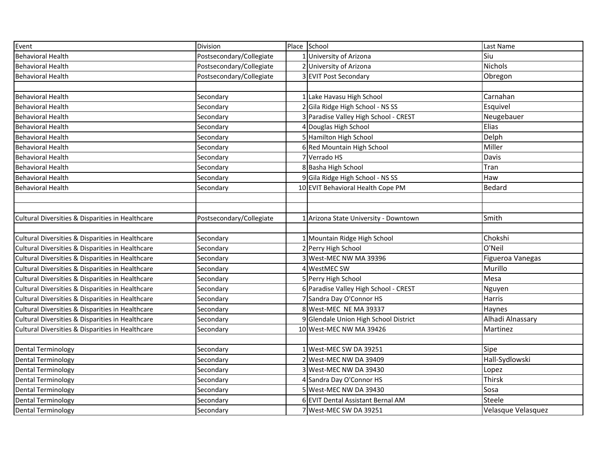| Event                                            | Division                 | Place School                          | Last Name          |
|--------------------------------------------------|--------------------------|---------------------------------------|--------------------|
| <b>Behavioral Health</b>                         | Postsecondary/Collegiate | 1 University of Arizona               | Siu                |
| <b>Behavioral Health</b>                         | Postsecondary/Collegiate | University of Arizona                 | Nichols            |
| <b>Behavioral Health</b>                         | Postsecondary/Collegiate | <b>EVIT Post Secondary</b>            | Obregon            |
|                                                  |                          |                                       |                    |
| <b>Behavioral Health</b>                         | Secondary                | 1 Lake Havasu High School             | Carnahan           |
| <b>Behavioral Health</b>                         | Secondary                | Gila Ridge High School - NS SS        | Esquivel           |
| <b>Behavioral Health</b>                         | Secondary                | Paradise Valley High School - CREST   | Neugebauer         |
| <b>Behavioral Health</b>                         | Secondary                | 4 Douglas High School                 | Elias              |
| <b>Behavioral Health</b>                         | Secondary                | 5 Hamilton High School                | Delph              |
| <b>Behavioral Health</b>                         | Secondary                | 6 Red Mountain High School            | Miller             |
| <b>Behavioral Health</b>                         | Secondary                | Verrado HS                            | Davis              |
| <b>Behavioral Health</b>                         | Secondary                | 8 Basha High School                   | Tran               |
| <b>Behavioral Health</b>                         | Secondary                | 9 Gila Ridge High School - NS SS      | Haw                |
| <b>Behavioral Health</b>                         | Secondary                | 10 EVIT Behavioral Health Cope PM     | Bedard             |
|                                                  |                          |                                       |                    |
|                                                  |                          |                                       |                    |
| Cultural Diversities & Disparities in Healthcare | Postsecondary/Collegiate | Arizona State University - Downtown   | Smith              |
|                                                  |                          |                                       |                    |
| Cultural Diversities & Disparities in Healthcare | Secondary                | 1 Mountain Ridge High School          | Chokshi            |
| Cultural Diversities & Disparities in Healthcare | Secondary                | 2 Perry High School                   | O'Neil             |
| Cultural Diversities & Disparities in Healthcare | Secondary                | 3 West-MEC NW MA 39396                | Figueroa Vanegas   |
| Cultural Diversities & Disparities in Healthcare | Secondary                | 4 WestMEC SW                          | Murillo            |
| Cultural Diversities & Disparities in Healthcare | Secondary                | 5 Perry High School                   | Mesa               |
| Cultural Diversities & Disparities in Healthcare | Secondary                | 6 Paradise Valley High School - CREST | Nguyen             |
| Cultural Diversities & Disparities in Healthcare | Secondary                | 7 Sandra Day O'Connor HS              | Harris             |
| Cultural Diversities & Disparities in Healthcare | Secondary                | 8 West-MEC NE MA 39337                | Haynes             |
| Cultural Diversities & Disparities in Healthcare | Secondary                | 9 Glendale Union High School District | Alhadi Alnassary   |
| Cultural Diversities & Disparities in Healthcare | Secondary                | 10 West-MEC NW MA 39426               | Martinez           |
|                                                  |                          |                                       |                    |
| <b>Dental Terminology</b>                        | Secondary                | 1 West-MEC SW DA 39251                | Sipe               |
| Dental Terminology                               | Secondary                | 2 West-MEC NW DA 39409                | Hall-Sydlowski     |
| Dental Terminology                               | Secondary                | 3 West-MEC NW DA 39430                | Lopez              |
| Dental Terminology                               | Secondary                | 4 Sandra Day O'Connor HS              | Thirsk             |
| <b>Dental Terminology</b>                        | Secondary                | 5 West-MEC NW DA 39430                | Sosa               |
| <b>Dental Terminology</b>                        | Secondary                | 6 EVIT Dental Assistant Bernal AM     | Steele             |
| <b>Dental Terminology</b>                        | Secondary                | 7 West-MEC SW DA 39251                | Velasque Velasquez |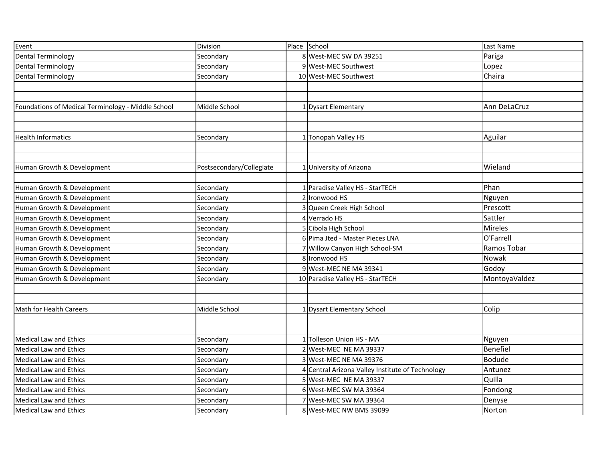| Event                                              | Division                 | Place School                                     | Last Name      |
|----------------------------------------------------|--------------------------|--------------------------------------------------|----------------|
| Dental Terminology                                 | Secondary                | 8 West-MEC SW DA 39251                           | Pariga         |
| Dental Terminology                                 | Secondary                | 9 West-MEC Southwest                             | Lopez          |
| <b>Dental Terminology</b>                          | Secondary                | 10 West-MEC Southwest                            | Chaira         |
|                                                    |                          |                                                  |                |
|                                                    |                          |                                                  |                |
| Foundations of Medical Terminology - Middle School | Middle School            | Dysart Elementary                                | Ann DeLaCruz   |
|                                                    |                          |                                                  |                |
|                                                    |                          |                                                  |                |
| <b>Health Informatics</b>                          | Secondary                | Tonopah Valley HS                                | Aguilar        |
|                                                    |                          |                                                  |                |
|                                                    |                          |                                                  |                |
| Human Growth & Development                         | Postsecondary/Collegiate | University of Arizona                            | Wieland        |
|                                                    |                          |                                                  |                |
| Human Growth & Development                         | Secondary                | 1 Paradise Valley HS - StarTECH                  | Phan           |
| Human Growth & Development                         | Secondary                | 2 Ironwood HS                                    | Nguyen         |
| Human Growth & Development                         | Secondary                | Queen Creek High School                          | Prescott       |
| Human Growth & Development                         | Secondary                | 4 Verrado HS                                     | Sattler        |
| Human Growth & Development                         | Secondary                | 5 Cibola High School                             | <b>Mireles</b> |
| Human Growth & Development                         | Secondary                | 6 Pima Jted - Master Pieces LNA                  | O'Farrell      |
| Human Growth & Development                         | Secondary                | 7 Willow Canyon High School-SM                   | Ramos Tobar    |
| Human Growth & Development                         | Secondary                | 8 Ironwood HS                                    | Nowak          |
| Human Growth & Development                         | Secondary                | 9 West-MEC NE MA 39341                           | Godoy          |
| Human Growth & Development                         | Secondary                | 10 Paradise Valley HS - StarTECH                 | MontoyaValdez  |
|                                                    |                          |                                                  |                |
|                                                    |                          |                                                  |                |
| Math for Health Careers                            | Middle School            | 1 Dysart Elementary School                       | Colip          |
|                                                    |                          |                                                  |                |
|                                                    |                          |                                                  |                |
| Medical Law and Ethics                             | Secondary                | 1 Tolleson Union HS - MA                         | Nguyen         |
| <b>Medical Law and Ethics</b>                      | Secondary                | 2 West-MEC NE MA 39337                           | Benefiel       |
| Medical Law and Ethics                             | Secondary                | 3 West-MEC NE MA 39376                           | <b>Bodude</b>  |
| <b>Medical Law and Ethics</b>                      | Secondary                | 4 Central Arizona Valley Institute of Technology | Antunez        |
| Medical Law and Ethics                             | Secondary                | 5 West-MEC NE MA 39337                           | Quilla         |
| Medical Law and Ethics                             | Secondary                | 6 West-MEC SW MA 39364                           | Fondong        |
| Medical Law and Ethics                             | Secondary                | 7 West-MEC SW MA 39364                           | Denyse         |
| Medical Law and Ethics                             | Secondary                | 8 West-MEC NW BMS 39099                          | Norton         |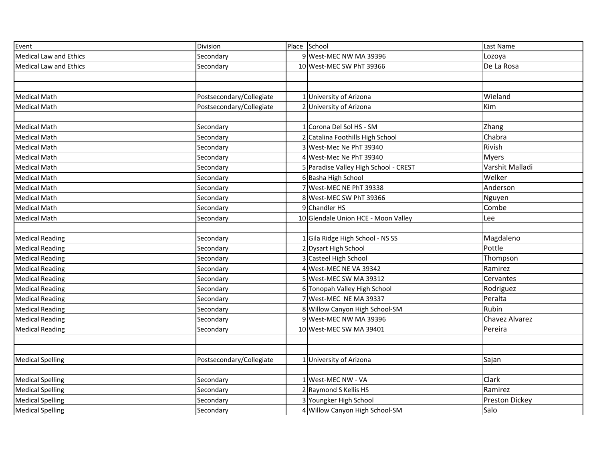| Event                         | Division                 |   | Place School                        | Last Name       |
|-------------------------------|--------------------------|---|-------------------------------------|-----------------|
| <b>Medical Law and Ethics</b> | Secondary                |   | 9 West-MEC NW MA 39396              | Lozoya          |
| <b>Medical Law and Ethics</b> | Secondary                |   | 10 West-MEC SW PhT 39366            | De La Rosa      |
|                               |                          |   |                                     |                 |
|                               |                          |   |                                     |                 |
| <b>Medical Math</b>           | Postsecondary/Collegiate |   | University of Arizona               | Wieland         |
| <b>Medical Math</b>           | Postsecondary/Collegiate |   | University of Arizona               | Kim             |
|                               |                          |   |                                     |                 |
| <b>Medical Math</b>           | Secondary                |   | Corona Del Sol HS - SM              | Zhang           |
| <b>Medical Math</b>           | Secondary                |   | Catalina Foothills High School      | Chabra          |
| <b>Medical Math</b>           | Secondary                |   | West-Mec Ne PhT 39340               | Rivish          |
| <b>Medical Math</b>           | Secondary                |   | West-Mec Ne PhT 39340               | <b>Myers</b>    |
| <b>Medical Math</b>           | Secondary                |   | Paradise Valley High School - CREST | Varshit Malladi |
| <b>Medical Math</b>           | Secondary                | 6 | Basha High School                   | Welker          |
| <b>Medical Math</b>           | Secondary                |   | West-MEC NE PhT 39338               | Anderson        |
| <b>Medical Math</b>           | Secondary                |   | West-MEC SW PhT 39366               | Nguyen          |
| <b>Medical Math</b>           | Secondary                |   | <b>Chandler HS</b>                  | Combe           |
| <b>Medical Math</b>           | Secondary                |   | 10 Glendale Union HCE - Moon Valley | Lee             |
|                               |                          |   |                                     |                 |
| <b>Medical Reading</b>        | Secondary                |   | Gila Ridge High School - NS SS      | Magdaleno       |
| <b>Medical Reading</b>        | Secondary                |   | 2 Dysart High School                | Pottle          |
| <b>Medical Reading</b>        | Secondary                |   | 3 Casteel High School               | Thompson        |
| <b>Medical Reading</b>        | Secondary                |   | West-MEC NE VA 39342                | Ramirez         |
| <b>Medical Reading</b>        | Secondary                |   | 5 West-MEC SW MA 39312              | Cervantes       |
| <b>Medical Reading</b>        | Secondary                |   | 6 Tonopah Valley High School        | Rodriguez       |
| <b>Medical Reading</b>        | Secondary                |   | West-MEC NE MA 39337                | Peralta         |
| <b>Medical Reading</b>        | Secondary                |   | 8 Willow Canyon High School-SM      | Rubin           |
| <b>Medical Reading</b>        | Secondary                |   | 9 West-MEC NW MA 39396              | Chavez Alvarez  |
| <b>Medical Reading</b>        | Secondary                |   | 10 West-MEC SW MA 39401             | Pereira         |
|                               |                          |   |                                     |                 |
|                               |                          |   |                                     |                 |
| <b>Medical Spelling</b>       | Postsecondary/Collegiate |   | University of Arizona               | Sajan           |
|                               |                          |   |                                     |                 |
| <b>Medical Spelling</b>       | Secondary                |   | West-MEC NW - VA                    | Clark           |
| <b>Medical Spelling</b>       | Secondary                |   | 2 Raymond S Kellis HS               | Ramirez         |
| <b>Medical Spelling</b>       | Secondary                |   | Youngker High School                | Preston Dickey  |
| <b>Medical Spelling</b>       | Secondary                |   | 4 Willow Canyon High School-SM      | Salo            |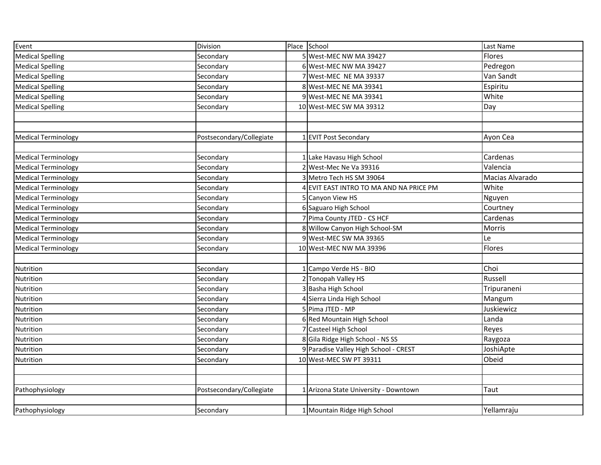| Event                      | Division                 | Place School                          | Last Name       |
|----------------------------|--------------------------|---------------------------------------|-----------------|
| <b>Medical Spelling</b>    | Secondary                | 5 West-MEC NW MA 39427                | Flores          |
| <b>Medical Spelling</b>    | Secondary                | 6 West-MEC NW MA 39427                | Pedregon        |
| <b>Medical Spelling</b>    | Secondary                | West-MEC NE MA 39337                  | Van Sandt       |
| <b>Medical Spelling</b>    | Secondary                | West-MEC NE MA 39341                  | Espiritu        |
| <b>Medical Spelling</b>    | Secondary                | 9 West-MEC NE MA 39341                | White           |
| <b>Medical Spelling</b>    | Secondary                | 10 West-MEC SW MA 39312               | Day             |
|                            |                          |                                       |                 |
|                            |                          |                                       |                 |
| <b>Medical Terminology</b> | Postsecondary/Collegiate | <b>EVIT Post Secondary</b>            | Ayon Cea        |
|                            |                          |                                       |                 |
| <b>Medical Terminology</b> | Secondary                | 1 Lake Havasu High School             | Cardenas        |
| <b>Medical Terminology</b> | Secondary                | West-Mec Ne Va 39316                  | Valencia        |
| <b>Medical Terminology</b> | Secondary                | Metro Tech HS SM 39064                | Macias Alvarado |
| <b>Medical Terminology</b> | Secondary                | EVIT EAST INTRO TO MA AND NA PRICE PM | White           |
| <b>Medical Terminology</b> | Secondary                | Canyon View HS                        | Nguyen          |
| <b>Medical Terminology</b> | Secondary                | 6 Saguaro High School                 | Courtney        |
| <b>Medical Terminology</b> | Secondary                | Pima County JTED - CS HCF             | Cardenas        |
| <b>Medical Terminology</b> | Secondary                | 8 Willow Canyon High School-SM        | Morris          |
| <b>Medical Terminology</b> | Secondary                | 9 West-MEC SW MA 39365                | Le              |
| <b>Medical Terminology</b> | Secondary                | 10 West-MEC NW MA 39396               | Flores          |
|                            |                          |                                       |                 |
| Nutrition                  | Secondary                | 1 Campo Verde HS - BIO                | Choi            |
| Nutrition                  | Secondary                | 2 Tonopah Valley HS                   | Russell         |
| Nutrition                  | Secondary                | 3 Basha High School                   | Tripuraneni     |
| Nutrition                  | Secondary                | 4 Sierra Linda High School            | Mangum          |
| Nutrition                  | Secondary                | 5 Pima JTED - MP                      | Juskiewicz      |
| Nutrition                  | Secondary                | 6 Red Mountain High School            | Landa           |
| Nutrition                  | Secondary                | Casteel High School                   | Reyes           |
| Nutrition                  | Secondary                | 8 Gila Ridge High School - NS SS      | Raygoza         |
| Nutrition                  | Secondary                | 9 Paradise Valley High School - CREST | JoshiApte       |
| Nutrition                  | Secondary                | 10 West-MEC SW PT 39311               | Obeid           |
|                            |                          |                                       |                 |
|                            |                          |                                       |                 |
| Pathophysiology            | Postsecondary/Collegiate | 1 Arizona State University - Downtown | Taut            |
|                            |                          |                                       |                 |
| Pathophysiology            | Secondary                | 1 Mountain Ridge High School          | Yellamraju      |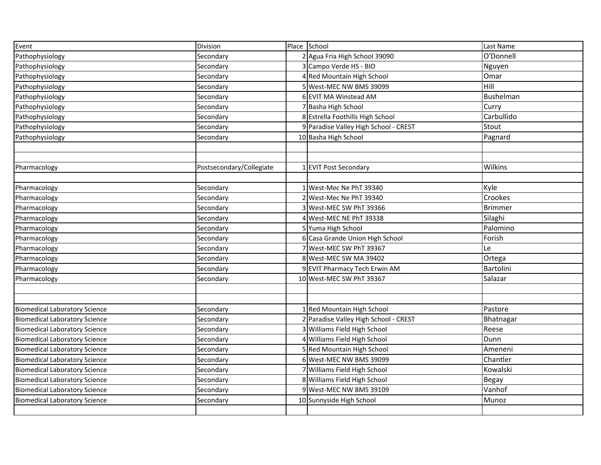| Event                                | Division                 | Place School                        | Last Name      |  |
|--------------------------------------|--------------------------|-------------------------------------|----------------|--|
| Pathophysiology                      | Secondary                | Agua Fria High School 39090         | O'Donnell      |  |
| Pathophysiology                      | Secondary                | Campo Verde HS - BIO                | Nguyen         |  |
| Pathophysiology                      | Secondary                | <b>Red Mountain High School</b>     | Omar           |  |
| Pathophysiology                      | Secondary                | West-MEC NW BMS 39099               | Hill           |  |
| Pathophysiology                      | Secondary                | EVIT MA Winstead AM                 | Bushelman      |  |
| Pathophysiology                      | Secondary                | Basha High School                   | Curry          |  |
| Pathophysiology                      | Secondary                | Estrella Foothills High School      | Carbullido     |  |
| Pathophysiology                      | Secondary                | Paradise Valley High School - CREST | Stout          |  |
| Pathophysiology                      | Secondary                | 10 Basha High School                | Pagnard        |  |
|                                      |                          |                                     |                |  |
|                                      |                          |                                     |                |  |
| Pharmacology                         | Postsecondary/Collegiate | <b>EVIT Post Secondary</b>          | Wilkins        |  |
| Pharmacology                         | Secondary                | West-Mec Ne PhT 39340               | Kyle           |  |
| Pharmacology                         | Secondary                | West-Mec Ne PhT 39340               | Crookes        |  |
| Pharmacology                         | Secondary                | West-MEC SW PhT 39366               | <b>Brimmer</b> |  |
| Pharmacology                         | Secondary                | West-MEC NE PhT 39338               | Silaghi        |  |
| Pharmacology                         | Secondary                | 5 Yuma High School                  | Palomino       |  |
| Pharmacology                         | Secondary                | 6 Casa Grande Union High School     | Forish         |  |
| Pharmacology                         | Secondary                | 7 West-MEC SW PhT 39367             | Le             |  |
| Pharmacology                         | Secondary                | 8 West-MEC SW MA 39402              | Ortega         |  |
| Pharmacology                         | Secondary                | 9 EVIT Pharmacy Tech Erwin AM       | Bartolini      |  |
| Pharmacology                         | Secondary                | 10 West-MEC SW PhT 39367            | Salazar        |  |
|                                      |                          |                                     |                |  |
|                                      |                          |                                     |                |  |
| <b>Biomedical Laboratory Science</b> | Secondary                | Red Mountain High School            | Pastore        |  |
| <b>Biomedical Laboratory Science</b> | Secondary                | Paradise Valley High School - CREST | Bhatnagar      |  |
| <b>Biomedical Laboratory Science</b> | Secondary                | Williams Field High School          | Reese          |  |
| <b>Biomedical Laboratory Science</b> | Secondary                | Williams Field High School          | Dunn           |  |
| <b>Biomedical Laboratory Science</b> | Secondary                | Red Mountain High School            | Ameneni        |  |
| <b>Biomedical Laboratory Science</b> | Secondary                | West-MEC NW BMS 39099               | Chantler       |  |
| <b>Biomedical Laboratory Science</b> | Secondary                | Williams Field High School          | Kowalski       |  |
| <b>Biomedical Laboratory Science</b> | Secondary                | Williams Field High School          | <b>Begay</b>   |  |
| <b>Biomedical Laboratory Science</b> | Secondary                | West-MEC NW BMS 39109               | Vanhof         |  |
| <b>Biomedical Laboratory Science</b> | Secondary                | 10 Sunnyside High School            | Munoz          |  |
|                                      |                          |                                     |                |  |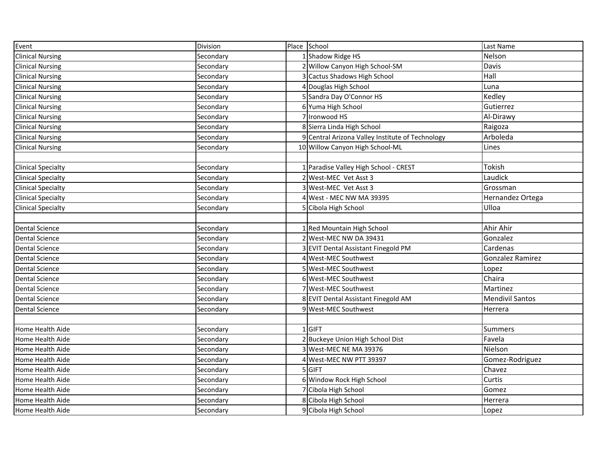| Event                     | Division  |   | Place School                                   | Last Name              |
|---------------------------|-----------|---|------------------------------------------------|------------------------|
| <b>Clinical Nursing</b>   | Secondary |   | Shadow Ridge HS                                | Nelson                 |
| <b>Clinical Nursing</b>   | Secondary |   | Willow Canyon High School-SM                   | Davis                  |
| <b>Clinical Nursing</b>   | Secondary |   | <b>Cactus Shadows High School</b>              | Hall                   |
| <b>Clinical Nursing</b>   | Secondary |   | Douglas High School                            | Luna                   |
| <b>Clinical Nursing</b>   | Secondary |   | Sandra Day O'Connor HS                         | Kedley                 |
| <b>Clinical Nursing</b>   | Secondary |   | Yuma High School                               | Gutierrez              |
| <b>Clinical Nursing</b>   | Secondary |   | Ironwood HS                                    | Al-Dirawy              |
| <b>Clinical Nursing</b>   | Secondary |   | Sierra Linda High School                       | Raigoza                |
| <b>Clinical Nursing</b>   | Secondary |   | Central Arizona Valley Institute of Technology | Arboleda               |
| <b>Clinical Nursing</b>   | Secondary |   | 10 Willow Canyon High School-ML                | Lines                  |
|                           |           |   |                                                |                        |
| <b>Clinical Specialty</b> | Secondary |   | Paradise Valley High School - CREST            | Tokish                 |
| <b>Clinical Specialty</b> | Secondary |   | West-MEC Vet Asst 3                            | Laudick                |
| <b>Clinical Specialty</b> | Secondary |   | West-MEC Vet Asst 3                            | Grossman               |
| <b>Clinical Specialty</b> | Secondary |   | West - MEC NW MA 39395                         | Hernandez Ortega       |
| <b>Clinical Specialty</b> | Secondary |   | Cibola High School                             | Ulloa                  |
|                           |           |   |                                                |                        |
| <b>Dental Science</b>     | Secondary |   | Red Mountain High School                       | Ahir Ahir              |
| <b>Dental Science</b>     | Secondary |   | West-MEC NW DA 39431                           | Gonzalez               |
| <b>Dental Science</b>     | Secondary |   | <b>EVIT Dental Assistant Finegold PM</b>       | Cardenas               |
| <b>Dental Science</b>     | Secondary |   | <b>West-MEC Southwest</b>                      | Gonzalez Ramirez       |
| <b>Dental Science</b>     | Secondary |   | 5 West-MEC Southwest                           | Lopez                  |
| <b>Dental Science</b>     | Secondary |   | 6 West-MEC Southwest                           | Chaira                 |
| <b>Dental Science</b>     | Secondary |   | 7 West-MEC Southwest                           | Martinez               |
| <b>Dental Science</b>     | Secondary |   | 8 EVIT Dental Assistant Finegold AM            | <b>Mendivil Santos</b> |
| <b>Dental Science</b>     | Secondary |   | 9 West-MEC Southwest                           | Herrera                |
|                           |           |   |                                                |                        |
| Home Health Aide          | Secondary | 1 | <b>IGIFT</b>                                   | Summers                |
| Home Health Aide          | Secondary |   | Buckeye Union High School Dist                 | Favela                 |
| Home Health Aide          | Secondary |   | West-MEC NE MA 39376                           | Nielson                |
| Home Health Aide          | Secondary |   | West-MEC NW PTT 39397                          | Gomez-Rodriguez        |
| Home Health Aide          | Secondary |   | 5 GIFT                                         | Chavez                 |
| Home Health Aide          | Secondary |   | 6 Window Rock High School                      | Curtis                 |
| Home Health Aide          | Secondary |   | Cibola High School                             | Gomez                  |
| Home Health Aide          | Secondary |   | 8 Cibola High School                           | Herrera                |
| Home Health Aide          | Secondary |   | 9 Cibola High School                           | Lopez                  |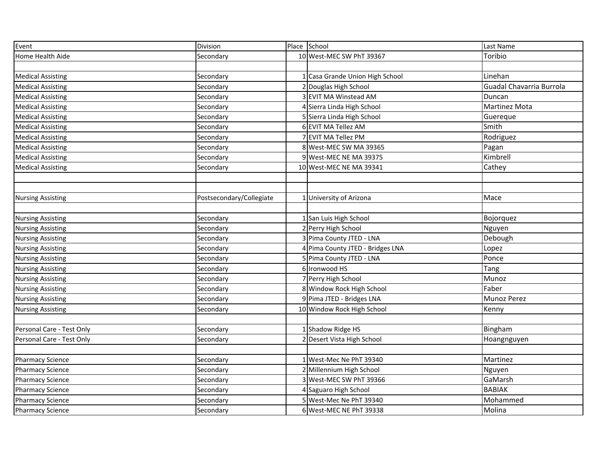| Event                     | Division                 | Place School                   | Last Name                |
|---------------------------|--------------------------|--------------------------------|--------------------------|
| Home Health Aide          | Secondary                | 10 West-MEC SW PhT 39367       | Toribio                  |
|                           |                          |                                |                          |
| <b>Medical Assisting</b>  | Secondary                | Casa Grande Union High School  | Linehan                  |
| <b>Medical Assisting</b>  | Secondary                | Douglas High School            | Guadal Chavarria Burrola |
| <b>Medical Assisting</b>  | Secondary                | <b>EVIT MA Winstead AM</b>     | Duncan                   |
| <b>Medical Assisting</b>  | Secondary                | Sierra Linda High School       | Martinez Mota            |
| <b>Medical Assisting</b>  | Secondary                | Sierra Linda High School       | Guereque                 |
| <b>Medical Assisting</b>  | Secondary                | 6 EVIT MA Tellez AM            | Smith                    |
| <b>Medical Assisting</b>  | Secondary                | EVIT MA Tellez PM              | Rodriguez                |
| <b>Medical Assisting</b>  | Secondary                | 8 West-MEC SW MA 39365         | Pagan                    |
| <b>Medical Assisting</b>  | Secondary                | West-MEC NE MA 39375           | Kimbrell                 |
| <b>Medical Assisting</b>  | Secondary                | 10 West-MEC NE MA 39341        | Cathey                   |
|                           |                          |                                |                          |
|                           |                          |                                |                          |
| <b>Nursing Assisting</b>  | Postsecondary/Collegiate | University of Arizona          | Mace                     |
|                           |                          |                                |                          |
| <b>Nursing Assisting</b>  | Secondary                | San Luis High School           | Bojorquez                |
| <b>Nursing Assisting</b>  | Secondary                | Perry High School              | Nguyen                   |
| <b>Nursing Assisting</b>  | Secondary                | Pima County JTED - LNA         | Debough                  |
| <b>Nursing Assisting</b>  | Secondary                | Pima County JTED - Bridges LNA | Lopez                    |
| <b>Nursing Assisting</b>  | Secondary                | Pima County JTED - LNA         | Ponce                    |
| <b>Nursing Assisting</b>  | Secondary                | 6 Ironwood HS                  | <b>Tang</b>              |
| <b>Nursing Assisting</b>  | Secondary                | 7 Perry High School            | Munoz                    |
| <b>Nursing Assisting</b>  | Secondary                | 8 Window Rock High School      | Faber                    |
| <b>Nursing Assisting</b>  | Secondary                | 9 Pima JTED - Bridges LNA      | Munoz Perez              |
| <b>Nursing Assisting</b>  | Secondary                | 10 Window Rock High School     | Kenny                    |
|                           |                          |                                |                          |
| Personal Care - Test Only | Secondary                | Shadow Ridge HS                | Bingham                  |
| Personal Care - Test Only | Secondary                | Desert Vista High School       | Hoangnguyen              |
|                           |                          |                                |                          |
| <b>Pharmacy Science</b>   | Secondary                | West-Mec Ne PhT 39340          | Martinez                 |
| <b>Pharmacy Science</b>   | Secondary                | Millennium High School         | Nguyen                   |
| <b>Pharmacy Science</b>   | Secondary                | West-MEC SW PhT 39366          | GaMarsh                  |
| <b>Pharmacy Science</b>   | Secondary                | Saguaro High School            | <b>BABIAK</b>            |
| <b>Pharmacy Science</b>   | Secondary                | West-Mec Ne PhT 39340          | Mohammed                 |
| <b>Pharmacy Science</b>   | Secondary                | 6 West-MEC NE PhT 39338        | Molina                   |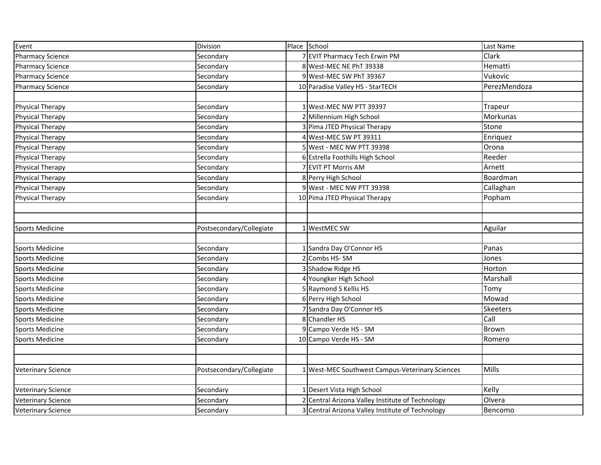| Event                     | Division                 | Place School                                     | Last Name       |
|---------------------------|--------------------------|--------------------------------------------------|-----------------|
| <b>Pharmacy Science</b>   | Secondary                | 7 EVIT Pharmacy Tech Erwin PM                    | Clark           |
| <b>Pharmacy Science</b>   | Secondary                | West-MEC NE PhT 39338                            | Hematti         |
| <b>Pharmacy Science</b>   | Secondary                | West-MEC SW PhT 39367                            | Vukovic         |
| <b>Pharmacy Science</b>   | Secondary                | 10 Paradise Valley HS - StarTECH                 | PerezMendoza    |
|                           |                          |                                                  |                 |
| Physical Therapy          | Secondary                | West-MEC NW PTT 39397                            | Trapeur         |
| <b>Physical Therapy</b>   | Secondary                | Millennium High School                           | Morkunas        |
| <b>Physical Therapy</b>   | Secondary                | Pima JTED Physical Therapy                       | Stone           |
| <b>Physical Therapy</b>   | Secondary                | West-MEC SW PT 39311                             | Enriquez        |
| Physical Therapy          | Secondary                | West - MEC NW PTT 39398                          | Orona           |
| Physical Therapy          | Secondary                | 6 Estrella Foothills High School                 | Reeder          |
| Physical Therapy          | Secondary                | <b>EVIT PT Morris AM</b>                         | Arnett          |
| Physical Therapy          | Secondary                | Perry High School                                | Boardman        |
| <b>Physical Therapy</b>   | Secondary                | West - MEC NW PTT 39398                          | Callaghan       |
| <b>Physical Therapy</b>   | Secondary                | 10 Pima JTED Physical Therapy                    | Popham          |
|                           |                          |                                                  |                 |
|                           |                          |                                                  |                 |
| <b>Sports Medicine</b>    | Postsecondary/Collegiate | <b>WestMEC SW</b>                                | Aguilar         |
|                           |                          |                                                  |                 |
| <b>Sports Medicine</b>    | Secondary                | 1 Sandra Day O'Connor HS                         | Panas           |
| Sports Medicine           | Secondary                | Combs HS-SM                                      | Jones           |
| Sports Medicine           | Secondary                | 3 Shadow Ridge HS                                | Horton          |
| <b>Sports Medicine</b>    | Secondary                | 4 Youngker High School                           | Marshall        |
| <b>Sports Medicine</b>    | Secondary                | 5 Raymond S Kellis HS                            | Tomv            |
| Sports Medicine           | Secondary                | 6 Perry High School                              | Mowad           |
| Sports Medicine           | Secondary                | 7 Sandra Day O'Connor HS                         | <b>Skeeters</b> |
| Sports Medicine           | Secondary                | 8 Chandler HS                                    | Call            |
| <b>Sports Medicine</b>    | Secondary                | 9 Campo Verde HS - SM                            | <b>Brown</b>    |
| <b>Sports Medicine</b>    | Secondary                | 10 Campo Verde HS - SM                           | Romero          |
|                           |                          |                                                  |                 |
|                           |                          |                                                  |                 |
| <b>Veterinary Science</b> | Postsecondary/Collegiate | West-MEC Southwest Campus-Veterinary Sciences    | Mills           |
|                           |                          |                                                  |                 |
| <b>Veterinary Science</b> | Secondary                | Desert Vista High School                         | Kelly           |
| <b>Veterinary Science</b> | Secondary                | Central Arizona Valley Institute of Technology   | Olvera          |
| <b>Veterinary Science</b> | Secondary                | 3 Central Arizona Valley Institute of Technology | Bencomo         |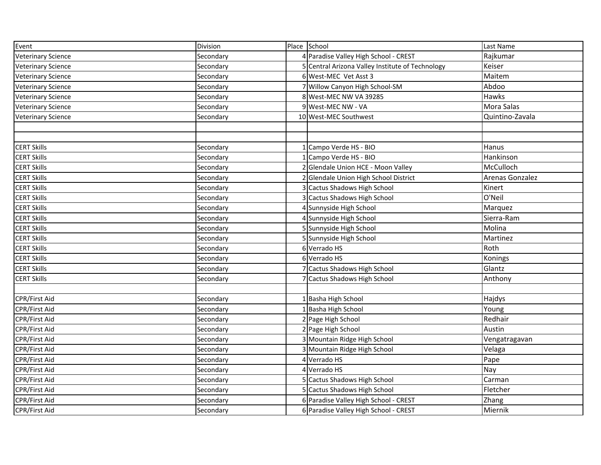| Event                     | Division  | Place School                                   | Last Name       |
|---------------------------|-----------|------------------------------------------------|-----------------|
| <b>Veterinary Science</b> | Secondary | 4 Paradise Valley High School - CREST          | Rajkumar        |
| <b>Veterinary Science</b> | Secondary | Central Arizona Valley Institute of Technology | Keiser          |
| <b>Veterinary Science</b> | Secondary | 6 West-MEC Vet Asst 3                          | Maitem          |
| <b>Veterinary Science</b> | Secondary | Willow Canyon High School-SM                   | Abdoo           |
| <b>Veterinary Science</b> | Secondary | West-MEC NW VA 39285                           | Hawks           |
| <b>Veterinary Science</b> | Secondary | West-MEC NW - VA                               | Mora Salas      |
| <b>Veterinary Science</b> | Secondary | 10 West-MEC Southwest                          | Quintino-Zavala |
|                           |           |                                                |                 |
|                           |           |                                                |                 |
| <b>CERT Skills</b>        | Secondary | Campo Verde HS - BIO                           | Hanus           |
| <b>CERT Skills</b>        | Secondary | Campo Verde HS - BIO                           | Hankinson       |
| <b>CERT Skills</b>        | Secondary | 2 Glendale Union HCE - Moon Valley             | McCulloch       |
| <b>CERT Skills</b>        | Secondary | Glendale Union High School District            | Arenas Gonzalez |
| <b>CERT Skills</b>        | Secondary | <b>Cactus Shadows High School</b>              | Kinert          |
| <b>CERT Skills</b>        | Secondary | <b>Cactus Shadows High School</b>              | O'Neil          |
| <b>CERT Skills</b>        | Secondary | Sunnyside High School                          | Marquez         |
| <b>CERT Skills</b>        | Secondary | Sunnyside High School                          | Sierra-Ram      |
| <b>CERT Skills</b>        | Secondary | 5 Sunnyside High School                        | Molina          |
| <b>CERT Skills</b>        | Secondary | 5 Sunnyside High School                        | Martinez        |
| <b>CERT Skills</b>        | Secondary | 6 Verrado HS                                   | Roth            |
| <b>CERT Skills</b>        | Secondary | 6 Verrado HS                                   | Konings         |
| <b>CERT Skills</b>        | Secondary | Cactus Shadows High School                     | Glantz          |
| <b>CERT Skills</b>        | Secondary | <b>Cactus Shadows High School</b>              | Anthony         |
|                           |           |                                                |                 |
| CPR/First Aid             | Secondary | 1 Basha High School                            | Hajdys          |
| <b>CPR/First Aid</b>      | Secondary | 1 Basha High School                            | Young           |
| <b>CPR/First Aid</b>      | Secondary | 2 Page High School                             | Redhair         |
| <b>CPR/First Aid</b>      | Secondary | 2 Page High School                             | Austin          |
| <b>CPR/First Aid</b>      | Secondary | 3 Mountain Ridge High School                   | Vengatragavan   |
| CPR/First Aid             | Secondary | 3 Mountain Ridge High School                   | Velaga          |
| CPR/First Aid             | Secondary | 4 Verrado HS                                   | Pape            |
| CPR/First Aid             | Secondary | 4 Verrado HS                                   | Nay             |
| CPR/First Aid             | Secondary | 5 Cactus Shadows High School                   | Carman          |
| CPR/First Aid             | Secondary | 5 Cactus Shadows High School                   | Fletcher        |
| CPR/First Aid             | Secondary | 6 Paradise Valley High School - CREST          | Zhang           |
| <b>CPR/First Aid</b>      | Secondary | 6 Paradise Valley High School - CREST          | Miernik         |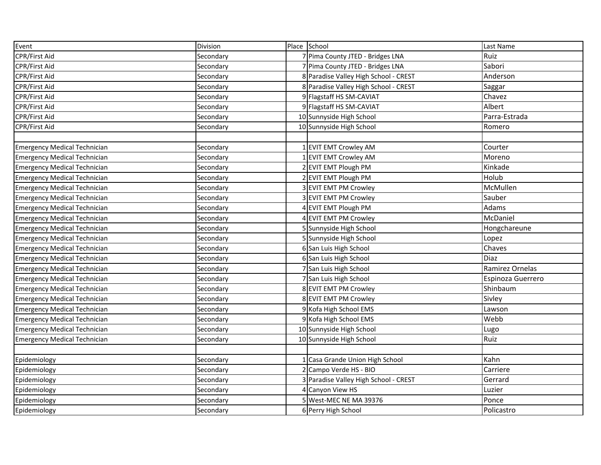| Event                               | Division  | Place School                        | Last Name         |
|-------------------------------------|-----------|-------------------------------------|-------------------|
| <b>CPR/First Aid</b>                | Secondary | Pima County JTED - Bridges LNA      | Ruiz              |
| <b>CPR/First Aid</b>                | Secondary | Pima County JTED - Bridges LNA      | Sabori            |
| CPR/First Aid                       | Secondary | Paradise Valley High School - CREST | Anderson          |
| CPR/First Aid                       | Secondary | Paradise Valley High School - CREST | Saggar            |
| <b>CPR/First Aid</b>                | Secondary | Flagstaff HS SM-CAVIAT              | Chavez            |
| <b>CPR/First Aid</b>                | Secondary | Flagstaff HS SM-CAVIAT              | Albert            |
| CPR/First Aid                       | Secondary | 10 Sunnyside High School            | Parra-Estrada     |
| <b>CPR/First Aid</b>                | Secondary | 10 Sunnyside High School            | Romero            |
|                                     |           |                                     |                   |
| <b>Emergency Medical Technician</b> | Secondary | <b>EVIT EMT Crowley AM</b>          | Courter           |
| <b>Emergency Medical Technician</b> | Secondary | <b>EVIT EMT Crowley AM</b>          | Moreno            |
| <b>Emergency Medical Technician</b> | Secondary | <b>EVIT EMT Plough PM</b>           | Kinkade           |
| <b>Emergency Medical Technician</b> | Secondary | <b>EVIT EMT Plough PM</b>           | Holub             |
| <b>Emergency Medical Technician</b> | Secondary | <b>EVIT EMT PM Crowley</b>          | McMullen          |
| <b>Emergency Medical Technician</b> | Secondary | <b>EVIT EMT PM Crowley</b>          | Sauber            |
| <b>Emergency Medical Technician</b> | Secondary | <b>EVIT EMT Plough PM</b>           | Adams             |
| <b>Emergency Medical Technician</b> | Secondary | <b>EVIT EMT PM Crowley</b>          | McDaniel          |
| <b>Emergency Medical Technician</b> | Secondary | 5 Sunnyside High School             | Hongchareune      |
| <b>Emergency Medical Technician</b> | Secondary | 5 Sunnyside High School             | Lopez             |
| <b>Emergency Medical Technician</b> | Secondary | 6 San Luis High School              | Chaves            |
| <b>Emergency Medical Technician</b> | Secondary | 6 San Luis High School              | <b>Diaz</b>       |
| <b>Emergency Medical Technician</b> | Secondary | 7 San Luis High School              | Ramirez Ornelas   |
| <b>Emergency Medical Technician</b> | Secondary | 7 San Luis High School              | Espinoza Guerrero |
| <b>Emergency Medical Technician</b> | Secondary | 8 EVIT EMT PM Crowley               | Shinbaum          |
| <b>Emergency Medical Technician</b> | Secondary | 8 EVIT EMT PM Crowley               | Sivley            |
| <b>Emergency Medical Technician</b> | Secondary | 9 Kofa High School EMS              | Lawson            |
| <b>Emergency Medical Technician</b> | Secondary | 9 Kofa High School EMS              | Webb              |
| <b>Emergency Medical Technician</b> | Secondary | 10 Sunnyside High School            | Lugo              |
| <b>Emergency Medical Technician</b> | Secondary | 10 Sunnyside High School            | Ruiz              |
|                                     |           |                                     |                   |
| Epidemiology                        | Secondary | Casa Grande Union High School       | Kahn              |
| Epidemiology                        | Secondary | Campo Verde HS - BIO                | Carriere          |
| Epidemiology                        | Secondary | Paradise Valley High School - CREST | Gerrard           |
| Epidemiology                        | Secondary | Canyon View HS                      | Luzier            |
| Epidemiology                        | Secondary | West-MEC NE MA 39376                | Ponce             |
| Epidemiology                        | Secondary | 6 Perry High School                 | Policastro        |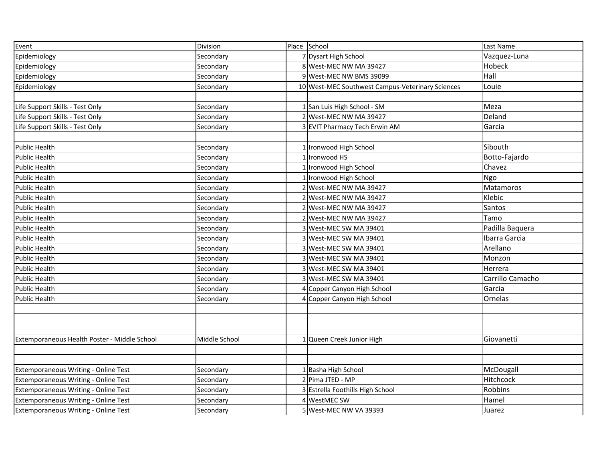| Event                                        | Division      | Place School                                     | Last Name        |
|----------------------------------------------|---------------|--------------------------------------------------|------------------|
| Epidemiology                                 | Secondary     | 7 Dysart High School                             | Vazquez-Luna     |
| Epidemiology                                 | Secondary     | 8 West-MEC NW MA 39427                           | Hobeck           |
| Epidemiology                                 | Secondary     | 9 West-MEC NW BMS 39099                          | Hall             |
| Epidemiology                                 | Secondary     | 10 West-MEC Southwest Campus-Veterinary Sciences | Louie            |
|                                              |               |                                                  |                  |
| Life Support Skills - Test Only              | Secondary     | 1 San Luis High School - SM                      | Meza             |
| Life Support Skills - Test Only              | Secondary     | West-MEC NW MA 39427                             | Deland           |
| Life Support Skills - Test Only              | Secondary     | <b>EVIT Pharmacy Tech Erwin AM</b>               | Garcia           |
|                                              |               |                                                  |                  |
| <b>Public Health</b>                         | Secondary     | 1 Ironwood High School                           | Sibouth          |
| <b>Public Health</b>                         | Secondary     | Ironwood HS                                      | Botto-Fajardo    |
| <b>Public Health</b>                         | Secondary     | Ironwood High School                             | Chavez           |
| <b>Public Health</b>                         | Secondary     | Ironwood High School                             | Ngo              |
| <b>Public Health</b>                         | Secondary     | West-MEC NW MA 39427                             | Matamoros        |
| <b>Public Health</b>                         | Secondary     | West-MEC NW MA 39427                             | Klebic           |
| <b>Public Health</b>                         | Secondary     | West-MEC NW MA 39427                             | Santos           |
| <b>Public Health</b>                         | Secondary     | West-MEC NW MA 39427                             | Tamo             |
| <b>Public Health</b>                         | Secondary     | West-MEC SW MA 39401                             | Padilla Baquera  |
| <b>Public Health</b>                         | Secondary     | West-MEC SW MA 39401                             | Ibarra Garcia    |
| <b>Public Health</b>                         | Secondary     | West-MEC SW MA 39401                             | Arellano         |
| <b>Public Health</b>                         | Secondary     | 3 West-MEC SW MA 39401                           | Monzon           |
| <b>Public Health</b>                         | Secondary     | 3 West-MEC SW MA 39401                           | Herrera          |
| <b>Public Health</b>                         | Secondary     | 3 West-MEC SW MA 39401                           | Carrillo Camacho |
| <b>Public Health</b>                         | Secondary     | Copper Canyon High School                        | Garcia           |
| <b>Public Health</b>                         | Secondary     | Copper Canyon High School                        | Ornelas          |
|                                              |               |                                                  |                  |
|                                              |               |                                                  |                  |
|                                              |               |                                                  |                  |
| Extemporaneous Health Poster - Middle School | Middle School | 1 Queen Creek Junior High                        | Giovanetti       |
|                                              |               |                                                  |                  |
|                                              |               |                                                  |                  |
| Extemporaneous Writing - Online Test         | Secondary     | 1 Basha High School                              | McDougall        |
| Extemporaneous Writing - Online Test         | Secondary     | 2 Pima JTED - MP                                 | Hitchcock        |
| Extemporaneous Writing - Online Test         | Secondary     | 3 Estrella Foothills High School                 | Robbins          |
| Extemporaneous Writing - Online Test         | Secondary     | 4 WestMEC SW                                     | Hamel            |
| Extemporaneous Writing - Online Test         | Secondary     | 5 West-MEC NW VA 39393                           | Juarez           |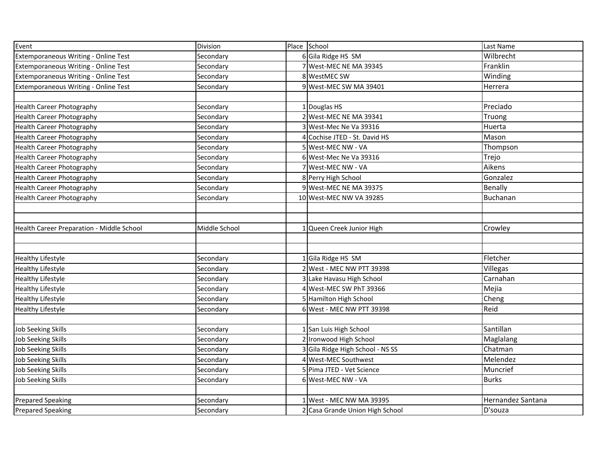| Event                                     | Division      | Place School                    | Last Name         |
|-------------------------------------------|---------------|---------------------------------|-------------------|
| Extemporaneous Writing - Online Test      | Secondary     | 6 Gila Ridge HS SM              | Wilbrecht         |
| Extemporaneous Writing - Online Test      | Secondary     | West-MEC NE MA 39345            | Franklin          |
| Extemporaneous Writing - Online Test      | Secondary     | <b>WestMEC SW</b>               | Winding           |
| Extemporaneous Writing - Online Test      | Secondary     | West-MEC SW MA 39401            | Herrera           |
|                                           |               |                                 |                   |
| <b>Health Career Photography</b>          | Secondary     | Douglas HS                      | Preciado          |
| <b>Health Career Photography</b>          | Secondary     | West-MEC NE MA 39341            | Truong            |
| <b>Health Career Photography</b>          | Secondary     | West-Mec Ne Va 39316            | Huerta            |
| <b>Health Career Photography</b>          | Secondary     | Cochise JTED - St. David HS     | Mason             |
| <b>Health Career Photography</b>          | Secondary     | West-MEC NW - VA                | Thompson          |
| <b>Health Career Photography</b>          | Secondary     | 6 West-Mec Ne Va 39316          | Trejo             |
| <b>Health Career Photography</b>          | Secondary     | West-MEC NW - VA                | Aikens            |
| <b>Health Career Photography</b>          | Secondary     | Perry High School               | Gonzalez          |
| <b>Health Career Photography</b>          | Secondary     | West-MEC NE MA 39375            | Benally           |
| <b>Health Career Photography</b>          | Secondary     | 10 West-MEC NW VA 39285         | Buchanan          |
|                                           |               |                                 |                   |
|                                           |               |                                 |                   |
| Health Career Preparation - Middle School | Middle School | Queen Creek Junior High         | Crowley           |
|                                           |               |                                 |                   |
|                                           |               |                                 |                   |
| <b>Healthy Lifestyle</b>                  | Secondary     | Gila Ridge HS SM                | Fletcher          |
| <b>Healthy Lifestyle</b>                  | Secondary     | West - MEC NW PTT 39398         | Villegas          |
| <b>Healthy Lifestyle</b>                  | Secondary     | 3 Lake Havasu High School       | Carnahan          |
| <b>Healthy Lifestyle</b>                  | Secondary     | West-MEC SW PhT 39366           | Mejia             |
| <b>Healthy Lifestyle</b>                  | Secondary     | 5 Hamilton High School          | Cheng             |
| <b>Healthy Lifestyle</b>                  | Secondary     | 6 West - MEC NW PTT 39398       | Reid              |
|                                           |               |                                 |                   |
| <b>Job Seeking Skills</b>                 | Secondary     | 1 San Luis High School          | Santillan         |
| <b>Job Seeking Skills</b>                 | Secondary     | 2 Ironwood High School          | Maglalang         |
| <b>Job Seeking Skills</b>                 | Secondary     | Gila Ridge High School - NS SS  | Chatman           |
| <b>Job Seeking Skills</b>                 | Secondary     | West-MEC Southwest              | Melendez          |
| <b>Job Seeking Skills</b>                 | Secondary     | 5 Pima JTED - Vet Science       | Muncrief          |
| <b>Job Seeking Skills</b>                 | Secondary     | 6 West-MEC NW - VA              | <b>Burks</b>      |
|                                           |               |                                 |                   |
| <b>Prepared Speaking</b>                  | Secondary     | West - MEC NW MA 39395          | Hernandez Santana |
| <b>Prepared Speaking</b>                  | Secondary     | 2 Casa Grande Union High School | D'souza           |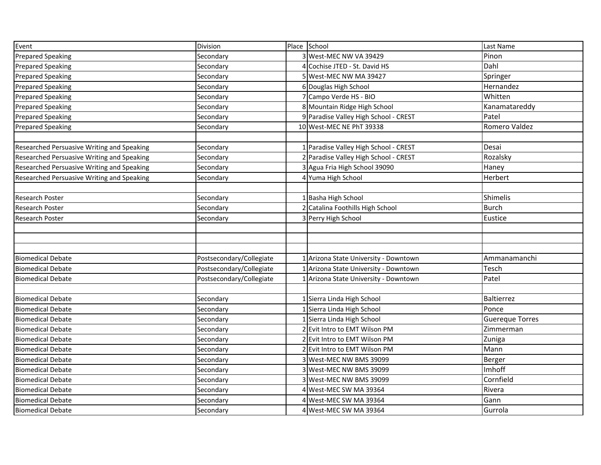| Event                                      | Division                 | Place School                        | Last Name              |
|--------------------------------------------|--------------------------|-------------------------------------|------------------------|
| <b>Prepared Speaking</b>                   | Secondary                | 3 West-MEC NW VA 39429              | Pinon                  |
| <b>Prepared Speaking</b>                   | Secondary                | Cochise JTED - St. David HS         | Dahl                   |
| <b>Prepared Speaking</b>                   | Secondary                | West-MEC NW MA 39427                | Springer               |
| <b>Prepared Speaking</b>                   | Secondary                | 6 Douglas High School               | Hernandez              |
| <b>Prepared Speaking</b>                   | Secondary                | Campo Verde HS - BIO                | Whitten                |
| <b>Prepared Speaking</b>                   | Secondary                | Mountain Ridge High School          | Kanamatareddy          |
| <b>Prepared Speaking</b>                   | Secondary                | Paradise Valley High School - CREST | Patel                  |
| <b>Prepared Speaking</b>                   | Secondary                | 10 West-MEC NE PhT 39338            | Romero Valdez          |
|                                            |                          |                                     |                        |
| Researched Persuasive Writing and Speaking | Secondary                | Paradise Valley High School - CREST | Desai                  |
| Researched Persuasive Writing and Speaking | Secondary                | Paradise Valley High School - CREST | Rozalsky               |
| Researched Persuasive Writing and Speaking | Secondary                | Agua Fria High School 39090         | Haney                  |
| Researched Persuasive Writing and Speaking | Secondary                | Yuma High School                    | Herbert                |
|                                            |                          |                                     |                        |
| <b>Research Poster</b>                     | Secondary                | Basha High School                   | Shimelis               |
| <b>Research Poster</b>                     | Secondary                | Catalina Foothills High School      | <b>Burch</b>           |
| <b>Research Poster</b>                     | Secondary                | Perry High School                   | Eustice                |
|                                            |                          |                                     |                        |
|                                            |                          |                                     |                        |
|                                            |                          |                                     |                        |
| <b>Biomedical Debate</b>                   | Postsecondary/Collegiate | Arizona State University - Downtown | Ammanamanchi           |
| <b>Biomedical Debate</b>                   | Postsecondary/Collegiate | Arizona State University - Downtown | Tesch                  |
| <b>Biomedical Debate</b>                   | Postsecondary/Collegiate | Arizona State University - Downtown | Patel                  |
|                                            |                          |                                     |                        |
| <b>Biomedical Debate</b>                   | Secondary                | 1 Sierra Linda High School          | <b>Baltierrez</b>      |
| Biomedical Debate                          | Secondary                | 1 Sierra Linda High School          | Ponce                  |
| <b>Biomedical Debate</b>                   | Secondary                | 1 Sierra Linda High School          | <b>Guereque Torres</b> |
| <b>Biomedical Debate</b>                   | Secondary                | 2 Evit Intro to EMT Wilson PM       | Zimmerman              |
| <b>Biomedical Debate</b>                   | Secondary                | 2 Evit Intro to EMT Wilson PM       | Zuniga                 |
| <b>Biomedical Debate</b>                   | Secondary                | 2 Evit Intro to EMT Wilson PM       | Mann                   |
| <b>Biomedical Debate</b>                   | Secondary                | West-MEC NW BMS 39099               | Berger                 |
| <b>Biomedical Debate</b>                   | Secondary                | West-MEC NW BMS 39099               | Imhoff                 |
| <b>Biomedical Debate</b>                   | Secondary                | West-MEC NW BMS 39099               | Cornfield              |
| <b>Biomedical Debate</b>                   | Secondary                | West-MEC SW MA 39364                | Rivera                 |
| <b>Biomedical Debate</b>                   | Secondary                | West-MEC SW MA 39364                | Gann                   |
| <b>Biomedical Debate</b>                   | Secondary                | 4 West-MEC SW MA 39364              | Gurrola                |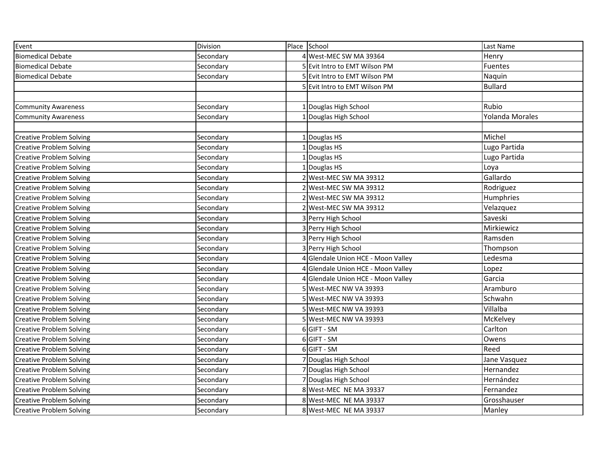| Event                           | Division  | Place School                     | Last Name              |
|---------------------------------|-----------|----------------------------------|------------------------|
| <b>Biomedical Debate</b>        | Secondary | West-MEC SW MA 39364             | Henry                  |
| <b>Biomedical Debate</b>        | Secondary | Evit Intro to EMT Wilson PM      | Fuentes                |
| <b>Biomedical Debate</b>        | Secondary | Evit Intro to EMT Wilson PM      | Naquin                 |
|                                 |           | Evit Intro to EMT Wilson PM      | <b>Bullard</b>         |
|                                 |           |                                  |                        |
| <b>Community Awareness</b>      | Secondary | Douglas High School              | Rubio                  |
| <b>Community Awareness</b>      | Secondary | Douglas High School              | <b>Yolanda Morales</b> |
|                                 |           |                                  |                        |
| <b>Creative Problem Solving</b> | Secondary | Douglas HS                       | Michel                 |
| <b>Creative Problem Solving</b> | Secondary | Douglas HS                       | Lugo Partida           |
| <b>Creative Problem Solving</b> | Secondary | Douglas HS                       | Lugo Partida           |
| <b>Creative Problem Solving</b> | Secondary | Douglas HS                       | Loya                   |
| <b>Creative Problem Solving</b> | Secondary | West-MEC SW MA 39312             | Gallardo               |
| <b>Creative Problem Solving</b> | Secondary | West-MEC SW MA 39312             | Rodriguez              |
| <b>Creative Problem Solving</b> | Secondary | West-MEC SW MA 39312             | Humphries              |
| <b>Creative Problem Solving</b> | Secondary | West-MEC SW MA 39312             | Velazquez              |
| <b>Creative Problem Solving</b> | Secondary | Perry High School                | Saveski                |
| <b>Creative Problem Solving</b> | Secondary | Perry High School                | Mirkiewicz             |
| <b>Creative Problem Solving</b> | Secondary | Perry High School                | Ramsden                |
| <b>Creative Problem Solving</b> | Secondary | Perry High School                | Thompson               |
| <b>Creative Problem Solving</b> | Secondary | Glendale Union HCE - Moon Valley | Ledesma                |
| <b>Creative Problem Solving</b> | Secondary | Glendale Union HCE - Moon Valley | Lopez                  |
| <b>Creative Problem Solving</b> | Secondary | Glendale Union HCE - Moon Valley | Garcia                 |
| <b>Creative Problem Solving</b> | Secondary | 5 West-MEC NW VA 39393           | Aramburo               |
| <b>Creative Problem Solving</b> | Secondary | 5 West-MEC NW VA 39393           | Schwahn                |
| <b>Creative Problem Solving</b> | Secondary | 5 West-MEC NW VA 39393           | Villalba               |
| <b>Creative Problem Solving</b> | Secondary | 5 West-MEC NW VA 39393           | McKelvey               |
| <b>Creative Problem Solving</b> | Secondary | 6 GIFT - SM                      | Carlton                |
| <b>Creative Problem Solving</b> | Secondary | 6 GIFT - SM                      | Owens                  |
| <b>Creative Problem Solving</b> | Secondary | 6 GIFT - SM                      | Reed                   |
| <b>Creative Problem Solving</b> | Secondary | Douglas High School              | Jane Vasquez           |
| <b>Creative Problem Solving</b> | Secondary | Douglas High School              | Hernandez              |
| <b>Creative Problem Solving</b> | Secondary | 7 Douglas High School            | Hernández              |
| <b>Creative Problem Solving</b> | Secondary | 8 West-MEC NE MA 39337           | Fernandez              |
| <b>Creative Problem Solving</b> | Secondary | 8 West-MEC NE MA 39337           | Grosshauser            |
| <b>Creative Problem Solving</b> | Secondary | 8 West-MEC NE MA 39337           | Manley                 |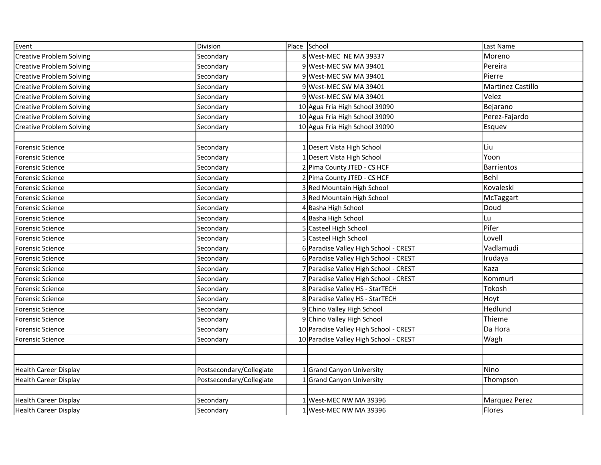| Event                           | Division                 | Place School                           | Last Name            |
|---------------------------------|--------------------------|----------------------------------------|----------------------|
| <b>Creative Problem Solving</b> | Secondary                | 8 West-MEC NE MA 39337                 | Moreno               |
| <b>Creative Problem Solving</b> | Secondary                | West-MEC SW MA 39401                   | Pereira              |
| <b>Creative Problem Solving</b> | Secondary                | 9 West-MEC SW MA 39401                 | Pierre               |
| <b>Creative Problem Solving</b> | Secondary                | 9 West-MEC SW MA 39401                 | Martinez Castillo    |
| <b>Creative Problem Solving</b> | Secondary                | 9 West-MEC SW MA 39401                 | Velez                |
| <b>Creative Problem Solving</b> | Secondary                | 10 Agua Fria High School 39090         | Bejarano             |
| <b>Creative Problem Solving</b> | Secondary                | 10 Agua Fria High School 39090         | Perez-Fajardo        |
| <b>Creative Problem Solving</b> | Secondary                | 10 Agua Fria High School 39090         | Esquev               |
|                                 |                          |                                        |                      |
| Forensic Science                | Secondary                | 1 Desert Vista High School             | Liu                  |
| <b>Forensic Science</b>         | Secondary                | Desert Vista High School               | Yoon                 |
| <b>Forensic Science</b>         | Secondary                | Pima County JTED - CS HCF              | Barrientos           |
| <b>Forensic Science</b>         | Secondary                | 2 Pima County JTED - CS HCF            | <b>Behl</b>          |
| <b>Forensic Science</b>         | Secondary                | Red Mountain High School               | Kovaleski            |
| Forensic Science                | Secondary                | Red Mountain High School               | McTaggart            |
| <b>Forensic Science</b>         | Secondary                | Basha High School                      | Doud                 |
| <b>Forensic Science</b>         | Secondary                | Basha High School                      | Lu                   |
| <b>Forensic Science</b>         | Secondary                | Casteel High School                    | Pifer                |
| <b>Forensic Science</b>         | Secondary                | Casteel High School                    | Lovell               |
| <b>Forensic Science</b>         | Secondary                | 6 Paradise Valley High School - CREST  | Vadlamudi            |
| <b>Forensic Science</b>         | Secondary                | 6 Paradise Valley High School - CREST  | Irudaya              |
| <b>Forensic Science</b>         | Secondary                | 7 Paradise Valley High School - CREST  | Kaza                 |
| <b>Forensic Science</b>         | Secondary                | 7 Paradise Valley High School - CREST  | Kommuri              |
| <b>Forensic Science</b>         | Secondary                | 8 Paradise Valley HS - StarTECH        | Tokosh               |
| <b>Forensic Science</b>         | Secondary                | 8 Paradise Valley HS - StarTECH        | Hoyt                 |
| <b>Forensic Science</b>         | Secondary                | 9 Chino Valley High School             | Hedlund              |
| <b>Forensic Science</b>         | Secondary                | 9 Chino Valley High School             | Thieme               |
| <b>Forensic Science</b>         | Secondary                | 10 Paradise Valley High School - CREST | Da Hora              |
| Forensic Science                | Secondary                | 10 Paradise Valley High School - CREST | Wagh                 |
|                                 |                          |                                        |                      |
|                                 |                          |                                        |                      |
| <b>Health Career Display</b>    | Postsecondary/Collegiate | 1 Grand Canyon University              | Nino                 |
| <b>Health Career Display</b>    | Postsecondary/Collegiate | 1 Grand Canyon University              | Thompson             |
|                                 |                          |                                        |                      |
| <b>Health Career Display</b>    | Secondary                | West-MEC NW MA 39396                   | <b>Marquez Perez</b> |
| <b>Health Career Display</b>    | Secondary                | 1 West-MEC NW MA 39396                 | Flores               |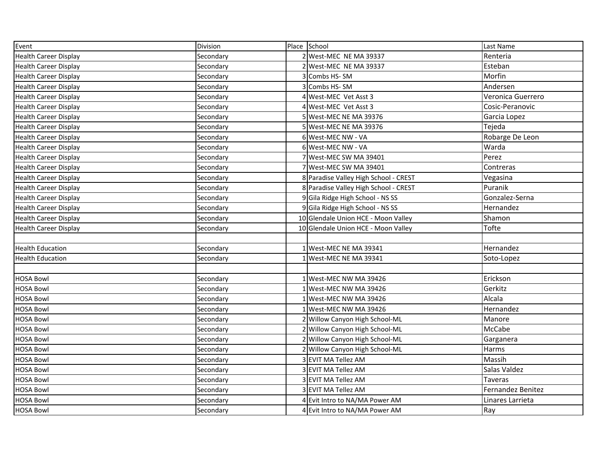| Event                        | Division  | Place School                          | Last Name         |
|------------------------------|-----------|---------------------------------------|-------------------|
| <b>Health Career Display</b> | Secondary | 2 West-MEC NE MA 39337                | Renteria          |
| <b>Health Career Display</b> | Secondary | West-MEC NE MA 39337                  | Esteban           |
| <b>Health Career Display</b> | Secondary | Combs HS-SM                           | Morfin            |
| <b>Health Career Display</b> | Secondary | Combs HS-SM                           | Andersen          |
| <b>Health Career Display</b> | Secondary | West-MEC Vet Asst 3                   | Veronica Guerrero |
| <b>Health Career Display</b> | Secondary | West-MEC Vet Asst 3                   | Cosic-Peranovic   |
| <b>Health Career Display</b> | Secondary | 5 West-MEC NE MA 39376                | Garcia Lopez      |
| <b>Health Career Display</b> | Secondary | 5 West-MEC NE MA 39376                | Tejeda            |
| <b>Health Career Display</b> | Secondary | 6 West-MEC NW - VA                    | Robarge De Leon   |
| <b>Health Career Display</b> | Secondary | 6 West-MEC NW - VA                    | Warda             |
| <b>Health Career Display</b> | Secondary | West-MEC SW MA 39401                  | Perez             |
| <b>Health Career Display</b> | Secondary | West-MEC SW MA 39401                  | Contreras         |
| <b>Health Career Display</b> | Secondary | 8 Paradise Valley High School - CREST | Vegasina          |
| <b>Health Career Display</b> | Secondary | 8 Paradise Valley High School - CREST | Puranik           |
| <b>Health Career Display</b> | Secondary | 9 Gila Ridge High School - NS SS      | Gonzalez-Serna    |
| <b>Health Career Display</b> | Secondary | Gila Ridge High School - NS SS        | Hernandez         |
| <b>Health Career Display</b> | Secondary | 10 Glendale Union HCE - Moon Valley   | Shamon            |
| <b>Health Career Display</b> | Secondary | 10 Glendale Union HCE - Moon Valley   | Tofte             |
|                              |           |                                       |                   |
| <b>Health Education</b>      | Secondary | 1 West-MEC NE MA 39341                | Hernandez         |
| <b>Health Education</b>      | Secondary | West-MEC NE MA 39341                  | Soto-Lopez        |
|                              |           |                                       |                   |
| <b>HOSA Bowl</b>             | Secondary | 1 West-MEC NW MA 39426                | Erickson          |
| <b>HOSA Bowl</b>             | Secondary | 1 West-MEC NW MA 39426                | Gerkitz           |
| <b>HOSA Bowl</b>             | Secondary | 1 West-MEC NW MA 39426                | Alcala            |
| <b>HOSA Bowl</b>             | Secondary | 1 West-MEC NW MA 39426                | Hernandez         |
| <b>HOSA Bowl</b>             | Secondary | 2 Willow Canyon High School-ML        | Manore            |
| <b>HOSA Bowl</b>             | Secondary | 2 Willow Canyon High School-ML        | McCabe            |
| <b>HOSA Bowl</b>             | Secondary | 2 Willow Canyon High School-ML        | Garganera         |
| <b>HOSA Bowl</b>             | Secondary | 2 Willow Canyon High School-ML        | Harms             |
| <b>HOSA Bowl</b>             | Secondary | EVIT MA Tellez AM                     | Massih            |
| <b>HOSA Bowl</b>             | Secondary | <b>IEVIT MA Tellez AM</b>             | Salas Valdez      |
| <b>HOSA Bowl</b>             | Secondary | 3 EVIT MA Tellez AM                   | Taveras           |
| <b>HOSA Bowl</b>             | Secondary | 3 EVIT MA Tellez AM                   | Fernandez Benitez |
| <b>HOSA Bowl</b>             | Secondary | Evit Intro to NA/MA Power AM          | Linares Larrieta  |
| <b>HOSA Bowl</b>             | Secondary | 4 Evit Intro to NA/MA Power AM        | Ray               |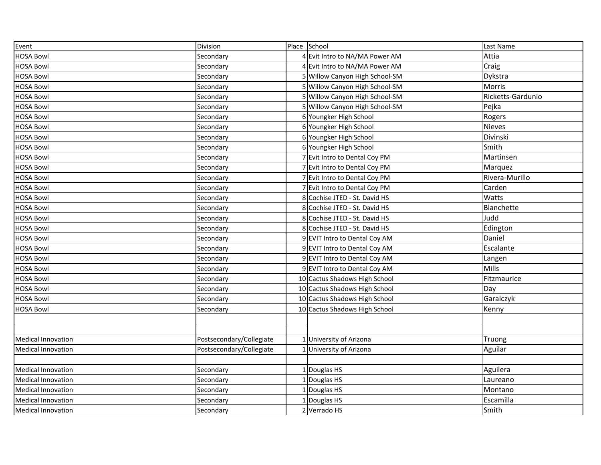| Event                     | Division                 | Place School                   | Last Name         |
|---------------------------|--------------------------|--------------------------------|-------------------|
| <b>HOSA Bowl</b>          | Secondary                | 4 Evit Intro to NA/MA Power AM | Attia             |
| <b>HOSA Bowl</b>          | Secondary                | 4 Evit Intro to NA/MA Power AM | Craig             |
| <b>HOSA Bowl</b>          | Secondary                | Willow Canyon High School-SM   | Dykstra           |
| <b>HOSA Bowl</b>          | Secondary                | Willow Canyon High School-SM   | Morris            |
| <b>HOSA Bowl</b>          | Secondary                | Willow Canyon High School-SM   | Ricketts-Gardunio |
| <b>HOSA Bowl</b>          | Secondary                | Willow Canyon High School-SM   | Pejka             |
| <b>HOSA Bowl</b>          | Secondary                | 6 Youngker High School         | Rogers            |
| <b>HOSA Bowl</b>          | Secondary                | 6 Youngker High School         | Nieves            |
| <b>HOSA Bowl</b>          | Secondary                | 6 Youngker High School         | Divinski          |
| <b>HOSA Bowl</b>          | Secondary                | 6 Youngker High School         | Smith             |
| <b>HOSA Bowl</b>          | Secondary                | Evit Intro to Dental Coy PM    | Martinsen         |
| <b>HOSA Bowl</b>          | Secondary                | Evit Intro to Dental Coy PM    | Marquez           |
| <b>HOSA Bowl</b>          | Secondary                | Evit Intro to Dental Coy PM    | Rivera-Murillo    |
| <b>HOSA Bowl</b>          | Secondary                | Evit Intro to Dental Coy PM    | Carden            |
| <b>HOSA Bowl</b>          | Secondary                | 8 Cochise JTED - St. David HS  | Watts             |
| <b>HOSA Bowl</b>          | Secondary                | 8 Cochise JTED - St. David HS  | Blanchette        |
| <b>HOSA Bowl</b>          | Secondary                | Cochise JTED - St. David HS    | Judd              |
| <b>HOSA Bowl</b>          | Secondary                | Cochise JTED - St. David HS    | Edington          |
| <b>HOSA Bowl</b>          | Secondary                | 9 EVIT Intro to Dental Coy AM  | Daniel            |
| <b>HOSA Bowl</b>          | Secondary                | 9 EVIT Intro to Dental Coy AM  | Escalante         |
| <b>HOSA Bowl</b>          | Secondary                | 9 EVIT Intro to Dental Coy AM  | Langen            |
| <b>HOSA Bowl</b>          | Secondary                | 9 EVIT Intro to Dental Coy AM  | <b>Mills</b>      |
| <b>HOSA Bowl</b>          | Secondary                | 10 Cactus Shadows High School  | Fitzmaurice       |
| <b>HOSA Bowl</b>          | Secondary                | 10 Cactus Shadows High School  | Day               |
| <b>HOSA Bowl</b>          | Secondary                | 10 Cactus Shadows High School  | Garalczyk         |
| <b>HOSA Bowl</b>          | Secondary                | 10 Cactus Shadows High School  | Kenny             |
|                           |                          |                                |                   |
|                           |                          |                                |                   |
| <b>Medical Innovation</b> | Postsecondary/Collegiate | 1 University of Arizona        | Truong            |
| <b>Medical Innovation</b> | Postsecondary/Collegiate | University of Arizona          | Aguilar           |
|                           |                          |                                |                   |
| <b>Medical Innovation</b> | Secondary                | 1 Douglas HS                   | Aguilera          |
| <b>Medical Innovation</b> | Secondary                | 1 Douglas HS                   | Laureano          |
| <b>Medical Innovation</b> | Secondary                | 1 Douglas HS                   | Montano           |
| <b>Medical Innovation</b> | Secondary                | 1 Douglas HS                   | Escamilla         |
| <b>Medical Innovation</b> | Secondary                | 2 Verrado HS                   | Smith             |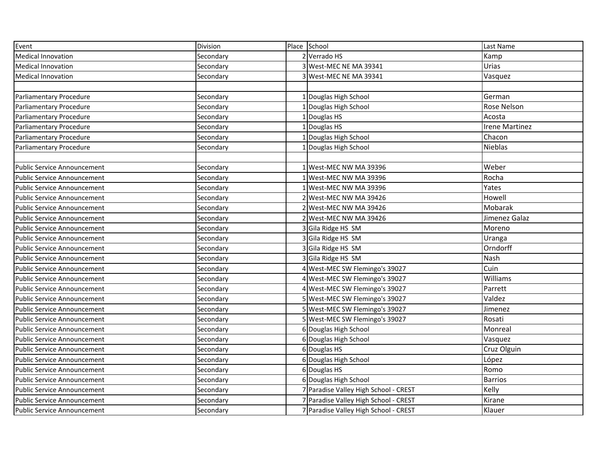| Event                              | Division  | Place School                          | Last Name             |
|------------------------------------|-----------|---------------------------------------|-----------------------|
| <b>Medical Innovation</b>          | Secondary | 2 Verrado HS                          | Kamp                  |
| <b>Medical Innovation</b>          | Secondary | West-MEC NE MA 39341                  | Urias                 |
| <b>Medical Innovation</b>          | Secondary | <b>West-MEC NE MA 39341</b>           | Vasquez               |
|                                    |           |                                       |                       |
| Parliamentary Procedure            | Secondary | Douglas High School                   | German                |
| Parliamentary Procedure            | Secondary | Douglas High School                   | Rose Nelson           |
| Parliamentary Procedure            | Secondary | Douglas HS                            | Acosta                |
| Parliamentary Procedure            | Secondary | Douglas HS                            | <b>Irene Martinez</b> |
| Parliamentary Procedure            | Secondary | Douglas High School                   | Chacon                |
| Parliamentary Procedure            | Secondary | Douglas High School                   | Nieblas               |
|                                    |           |                                       |                       |
| <b>Public Service Announcement</b> | Secondary | West-MEC NW MA 39396                  | Weber                 |
| <b>Public Service Announcement</b> | Secondary | West-MEC NW MA 39396                  | Rocha                 |
| <b>Public Service Announcement</b> | Secondary | West-MEC NW MA 39396                  | Yates                 |
| <b>Public Service Announcement</b> | Secondary | 2 West-MEC NW MA 39426                | Howell                |
| <b>Public Service Announcement</b> | Secondary | 2 West-MEC NW MA 39426                | Mobarak               |
| <b>Public Service Announcement</b> | Secondary | 2 West-MEC NW MA 39426                | Jimenez Galaz         |
| <b>Public Service Announcement</b> | Secondary | 3 Gila Ridge HS SM                    | Moreno                |
| <b>Public Service Announcement</b> | Secondary | 3 Gila Ridge HS SM                    | Uranga                |
| <b>Public Service Announcement</b> | Secondary | 3 Gila Ridge HS SM                    | Orndorff              |
| Public Service Announcement        | Secondary | 3 Gila Ridge HS SM                    | Nash                  |
| <b>Public Service Announcement</b> | Secondary | 4 West-MEC SW Flemingo's 39027        | Cuin                  |
| <b>Public Service Announcement</b> | Secondary | 4 West-MEC SW Flemingo's 39027        | Williams              |
| <b>Public Service Announcement</b> | Secondary | 4 West-MEC SW Flemingo's 39027        | Parrett               |
| <b>Public Service Announcement</b> | Secondary | 5 West-MEC SW Flemingo's 39027        | Valdez                |
| <b>Public Service Announcement</b> | Secondary | 5 West-MEC SW Flemingo's 39027        | Jimenez               |
| <b>Public Service Announcement</b> | Secondary | 5 West-MEC SW Flemingo's 39027        | Rosati                |
| <b>Public Service Announcement</b> | Secondary | 6 Douglas High School                 | Monreal               |
| <b>Public Service Announcement</b> | Secondary | 6 Douglas High School                 | Vasquez               |
| Public Service Announcement        | Secondary | 6 Douglas HS                          | Cruz Olguin           |
| <b>Public Service Announcement</b> | Secondary | 6 Douglas High School                 | López                 |
| Public Service Announcement        | Secondary | 6 Douglas HS                          | Romo                  |
| Public Service Announcement        | Secondary | 6 Douglas High School                 | <b>Barrios</b>        |
| <b>Public Service Announcement</b> | Secondary | 7 Paradise Valley High School - CREST | Kelly                 |
| <b>Public Service Announcement</b> | Secondary | 7 Paradise Valley High School - CREST | Kirane                |
| Public Service Announcement        | Secondary | 7 Paradise Valley High School - CREST | Klauer                |